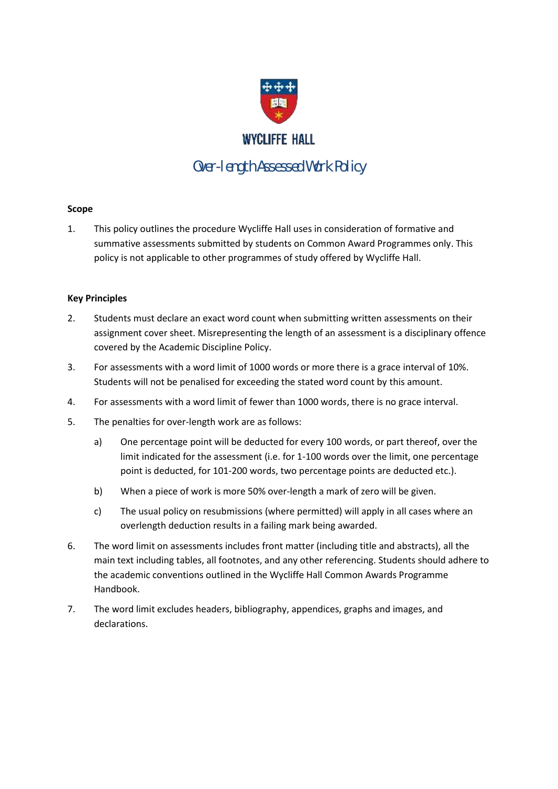

## Over-length Assessed Work Policy

## **Scope**

1. This policy outlines the procedure Wycliffe Hall uses in consideration of formative and summative assessments submitted by students on Common Award Programmes only. This policy is not applicable to other programmes of study offered by Wycliffe Hall.

## **Key Principles**

- 2. Students must declare an exact word count when submitting written assessments on their assignment cover sheet. Misrepresenting the length of an assessment is a disciplinary offence covered by the Academic Discipline Policy.
- 3. For assessments with a word limit of 1000 words or more there is a grace interval of 10%. Students will not be penalised for exceeding the stated word count by this amount.
- 4. For assessments with a word limit of fewer than 1000 words, there is no grace interval.
- 5. The penalties for over-length work are as follows:
	- a) One percentage point will be deducted for every 100 words, or part thereof, over the limit indicated for the assessment (i.e. for 1-100 words over the limit, one percentage point is deducted, for 101-200 words, two percentage points are deducted etc.).
	- b) When a piece of work is more 50% over-length a mark of zero will be given.
	- c) The usual policy on resubmissions (where permitted) will apply in all cases where an overlength deduction results in a failing mark being awarded.
- 6. The word limit on assessments includes front matter (including title and abstracts), all the main text including tables, all footnotes, and any other referencing. Students should adhere to the academic conventions outlined in the Wycliffe Hall Common Awards Programme Handbook.
- 7. The word limit excludes headers, bibliography, appendices, graphs and images, and declarations.